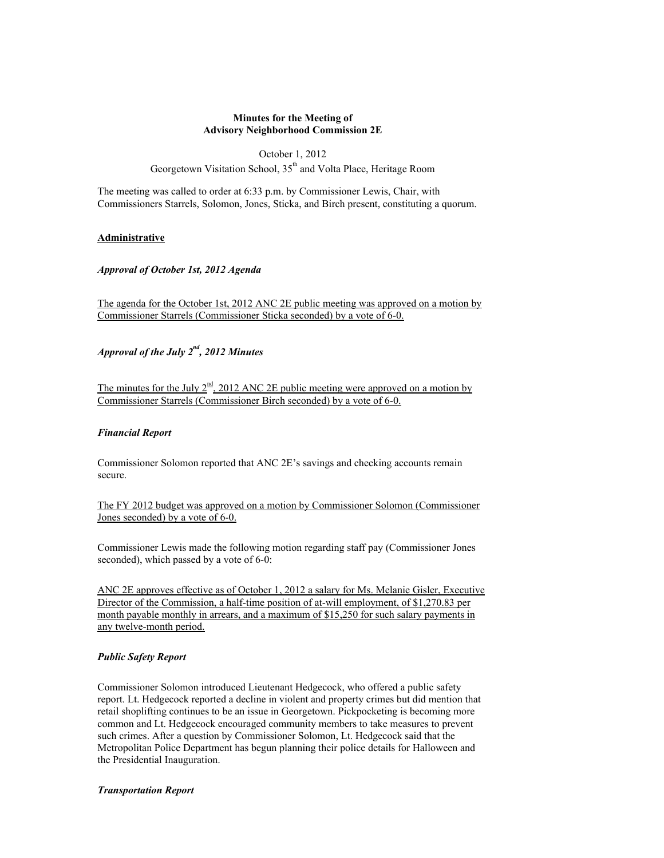#### **Minutes for the Meeting of Advisory Neighborhood Commission 2E**

October 1, 2012 Georgetown Visitation School,  $35<sup>th</sup>$  and Volta Place, Heritage Room

The meeting was called to order at 6:33 p.m. by Commissioner Lewis, Chair, with Commissioners Starrels, Solomon, Jones, Sticka, and Birch present, constituting a quorum.

## **Administrative**

*Approval of October 1st, 2012 Agenda*

The agenda for the October 1st, 2012 ANC 2E public meeting was approved on a motion by Commissioner Starrels (Commissioner Sticka seconded) by a vote of 6-0.

*Approval of the July 2nd, 2012 Minutes*

The minutes for the July  $2^{\frac{nd}{2}}$ , 2012 ANC 2E public meeting were approved on a motion by Commissioner Starrels (Commissioner Birch seconded) by a vote of 6-0.

## *Financial Report*

Commissioner Solomon reported that ANC 2E's savings and checking accounts remain secure.

The FY 2012 budget was approved on a motion by Commissioner Solomon (Commissioner Jones seconded) by a vote of 6-0.

Commissioner Lewis made the following motion regarding staff pay (Commissioner Jones seconded), which passed by a vote of 6-0:

ANC 2E approves effective as of October 1, 2012 a salary for Ms. Melanie Gisler, Executive Director of the Commission, a half-time position of at-will employment, of \$1,270.83 per month payable monthly in arrears, and a maximum of \$15,250 for such salary payments in any twelve-month period.

# *Public Safety Report*

Commissioner Solomon introduced Lieutenant Hedgecock, who offered a public safety report. Lt. Hedgecock reported a decline in violent and property crimes but did mention that retail shoplifting continues to be an issue in Georgetown. Pickpocketing is becoming more common and Lt. Hedgecock encouraged community members to take measures to prevent such crimes. After a question by Commissioner Solomon, Lt. Hedgecock said that the Metropolitan Police Department has begun planning their police details for Halloween and the Presidential Inauguration.

## *Transportation Report*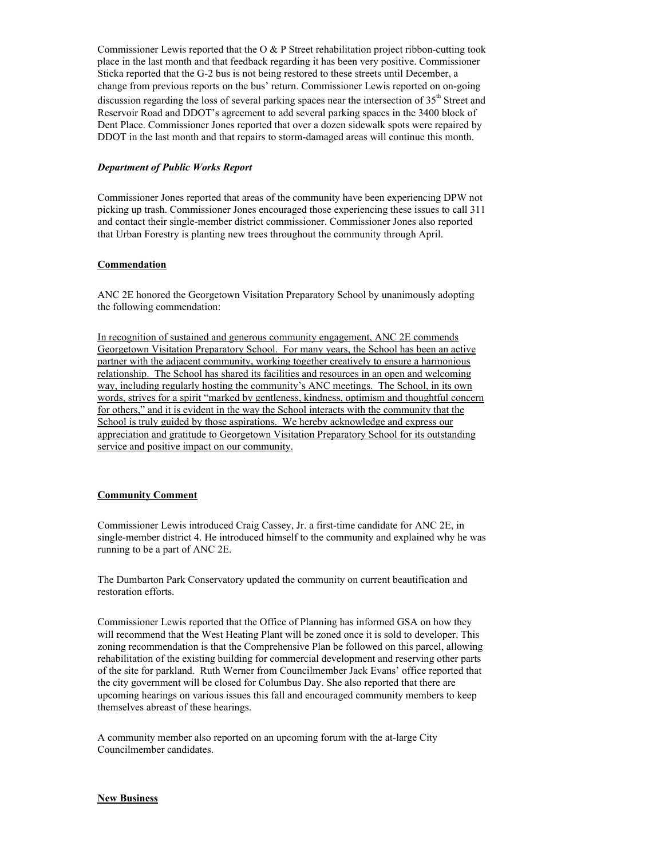Commissioner Lewis reported that the O  $&$  P Street rehabilitation project ribbon-cutting took place in the last month and that feedback regarding it has been very positive. Commissioner Sticka reported that the G-2 bus is not being restored to these streets until December, a change from previous reports on the bus' return. Commissioner Lewis reported on on-going discussion regarding the loss of several parking spaces near the intersection of  $35<sup>th</sup>$  Street and Reservoir Road and DDOT's agreement to add several parking spaces in the 3400 block of Dent Place. Commissioner Jones reported that over a dozen sidewalk spots were repaired by DDOT in the last month and that repairs to storm-damaged areas will continue this month.

## *Department of Public Works Report*

Commissioner Jones reported that areas of the community have been experiencing DPW not picking up trash. Commissioner Jones encouraged those experiencing these issues to call 311 and contact their single-member district commissioner. Commissioner Jones also reported that Urban Forestry is planting new trees throughout the community through April.

## **Commendation**

ANC 2E honored the Georgetown Visitation Preparatory School by unanimously adopting the following commendation:

In recognition of sustained and generous community engagement, ANC 2E commends Georgetown Visitation Preparatory School. For many years, the School has been an active partner with the adjacent community, working together creatively to ensure a harmonious relationship. The School has shared its facilities and resources in an open and welcoming way, including regularly hosting the community's ANC meetings. The School, in its own words, strives for a spirit "marked by gentleness, kindness, optimism and thoughtful concern for others," and it is evident in the way the School interacts with the community that the School is truly guided by those aspirations. We hereby acknowledge and express our appreciation and gratitude to Georgetown Visitation Preparatory School for its outstanding service and positive impact on our community.

# **Community Comment**

Commissioner Lewis introduced Craig Cassey, Jr. a first-time candidate for ANC 2E, in single-member district 4. He introduced himself to the community and explained why he was running to be a part of ANC 2E.

The Dumbarton Park Conservatory updated the community on current beautification and restoration efforts.

Commissioner Lewis reported that the Office of Planning has informed GSA on how they will recommend that the West Heating Plant will be zoned once it is sold to developer. This zoning recommendation is that the Comprehensive Plan be followed on this parcel, allowing rehabilitation of the existing building for commercial development and reserving other parts of the site for parkland. Ruth Werner from Councilmember Jack Evans' office reported that the city government will be closed for Columbus Day. She also reported that there are upcoming hearings on various issues this fall and encouraged community members to keep themselves abreast of these hearings.

A community member also reported on an upcoming forum with the at-large City Councilmember candidates.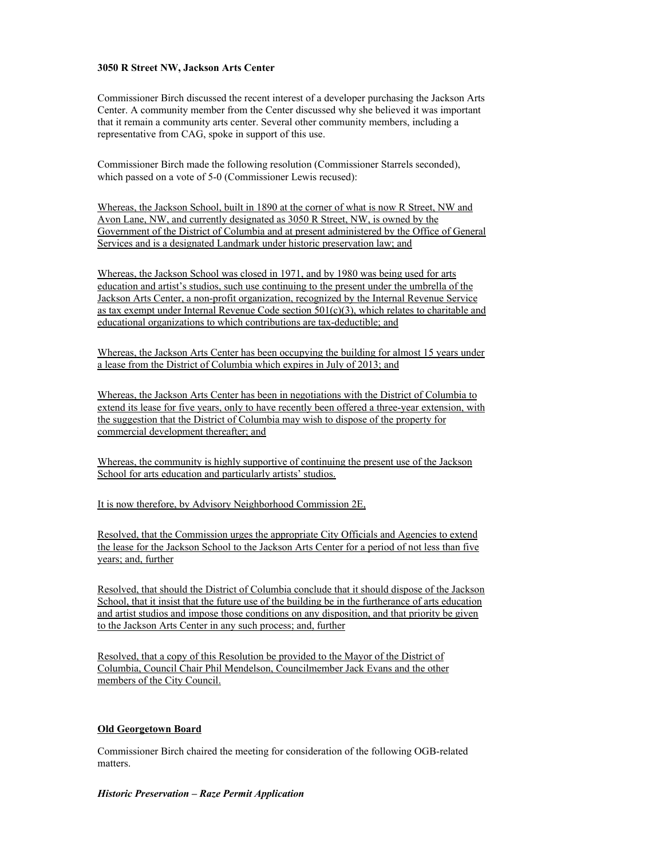#### **3050 R Street NW, Jackson Arts Center**

Commissioner Birch discussed the recent interest of a developer purchasing the Jackson Arts Center. A community member from the Center discussed why she believed it was important that it remain a community arts center. Several other community members, including a representative from CAG, spoke in support of this use.

Commissioner Birch made the following resolution (Commissioner Starrels seconded), which passed on a vote of 5-0 (Commissioner Lewis recused):

Whereas, the Jackson School, built in 1890 at the corner of what is now R Street, NW and Avon Lane, NW, and currently designated as 3050 R Street, NW, is owned by the Government of the District of Columbia and at present administered by the Office of General Services and is a designated Landmark under historic preservation law; and

Whereas, the Jackson School was closed in 1971, and by 1980 was being used for arts education and artist's studios, such use continuing to the present under the umbrella of the Jackson Arts Center, a non-profit organization, recognized by the Internal Revenue Service as tax exempt under Internal Revenue Code section 501(c)(3), which relates to charitable and educational organizations to which contributions are tax-deductible; and

Whereas, the Jackson Arts Center has been occupying the building for almost 15 years under a lease from the District of Columbia which expires in July of 2013; and

Whereas, the Jackson Arts Center has been in negotiations with the District of Columbia to extend its lease for five years, only to have recently been offered a three-year extension, with the suggestion that the District of Columbia may wish to dispose of the property for commercial development thereafter; and

Whereas, the community is highly supportive of continuing the present use of the Jackson School for arts education and particularly artists' studios.

It is now therefore, by Advisory Neighborhood Commission 2E,

Resolved, that the Commission urges the appropriate City Officials and Agencies to extend the lease for the Jackson School to the Jackson Arts Center for a period of not less than five years; and, further

Resolved, that should the District of Columbia conclude that it should dispose of the Jackson School, that it insist that the future use of the building be in the furtherance of arts education and artist studios and impose those conditions on any disposition, and that priority be given to the Jackson Arts Center in any such process; and, further

Resolved, that a copy of this Resolution be provided to the Mayor of the District of Columbia, Council Chair Phil Mendelson, Councilmember Jack Evans and the other members of the City Council.

## **Old Georgetown Board**

Commissioner Birch chaired the meeting for consideration of the following OGB-related matters.

## *Historic Preservation – Raze Permit Application*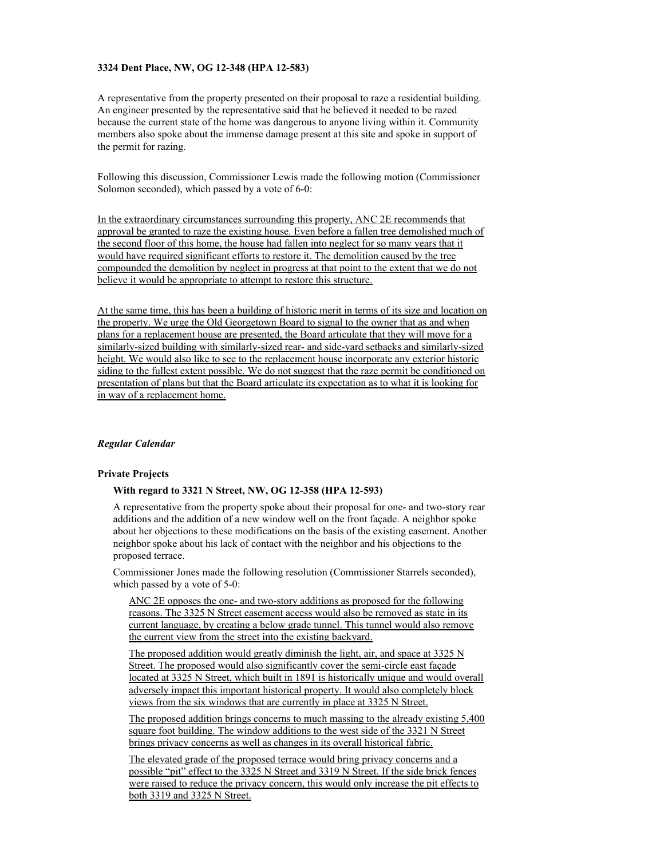#### **3324 Dent Place, NW, OG 12-348 (HPA 12-583)**

A representative from the property presented on their proposal to raze a residential building. An engineer presented by the representative said that he believed it needed to be razed because the current state of the home was dangerous to anyone living within it. Community members also spoke about the immense damage present at this site and spoke in support of the permit for razing.

Following this discussion, Commissioner Lewis made the following motion (Commissioner Solomon seconded), which passed by a vote of 6-0:

In the extraordinary circumstances surrounding this property, ANC 2E recommends that approval be granted to raze the existing house. Even before a fallen tree demolished much of the second floor of this home, the house had fallen into neglect for so many years that it would have required significant efforts to restore it. The demolition caused by the tree compounded the demolition by neglect in progress at that point to the extent that we do not believe it would be appropriate to attempt to restore this structure.

At the same time, this has been a building of historic merit in terms of its size and location on the property. We urge the Old Georgetown Board to signal to the owner that as and when plans for a replacement house are presented, the Board articulate that they will move for a similarly-sized building with similarly-sized rear- and side-yard setbacks and similarly-sized height. We would also like to see to the replacement house incorporate any exterior historic siding to the fullest extent possible. We do not suggest that the raze permit be conditioned on presentation of plans but that the Board articulate its expectation as to what it is looking for in way of a replacement home.

#### *Regular Calendar*

#### **Private Projects**

#### **With regard to 3321 N Street, NW, OG 12-358 (HPA 12-593)**

A representative from the property spoke about their proposal for one- and two-story rear additions and the addition of a new window well on the front façade. A neighbor spoke about her objections to these modifications on the basis of the existing easement. Another neighbor spoke about his lack of contact with the neighbor and his objections to the proposed terrace.

Commissioner Jones made the following resolution (Commissioner Starrels seconded), which passed by a vote of 5-0:

ANC 2E opposes the one- and two-story additions as proposed for the following reasons. The 3325 N Street easement access would also be removed as state in its current language, by creating a below grade tunnel. This tunnel would also remove the current view from the street into the existing backyard.

The proposed addition would greatly diminish the light, air, and space at 3325 N Street. The proposed would also significantly cover the semi-circle east façade located at 3325 N Street, which built in 1891 is historically unique and would overall adversely impact this important historical property. It would also completely block views from the six windows that are currently in place at 3325 N Street.

The proposed addition brings concerns to much massing to the already existing 5,400 square foot building. The window additions to the west side of the 3321 N Street brings privacy concerns as well as changes in its overall historical fabric.

The elevated grade of the proposed terrace would bring privacy concerns and a possible "pit" effect to the 3325 N Street and 3319 N Street. If the side brick fences were raised to reduce the privacy concern, this would only increase the pit effects to both 3319 and 3325 N Street.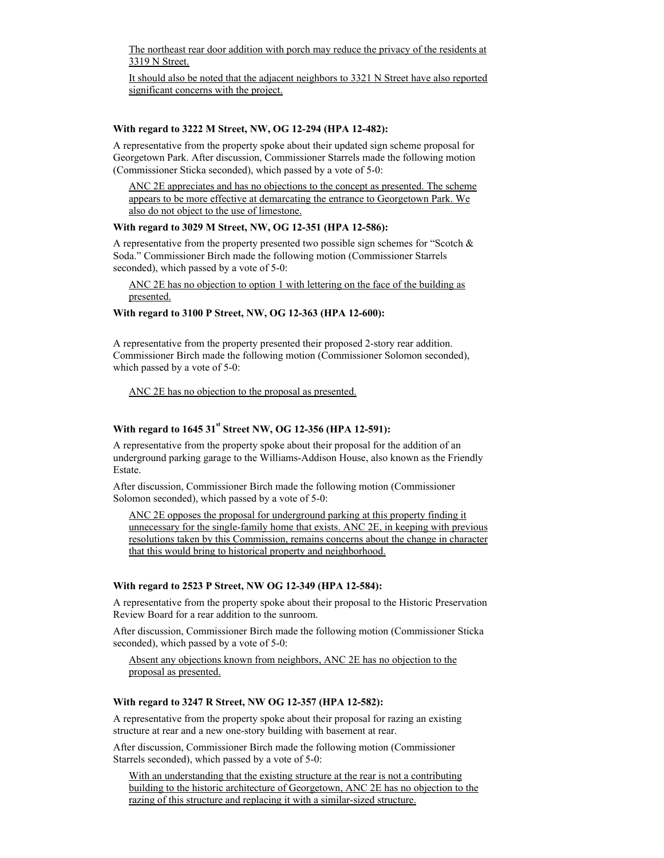The northeast rear door addition with porch may reduce the privacy of the residents at 3319 N Street.

It should also be noted that the adjacent neighbors to 3321 N Street have also reported significant concerns with the project.

#### **With regard to 3222 M Street, NW, OG 12-294 (HPA 12-482):**

A representative from the property spoke about their updated sign scheme proposal for Georgetown Park. After discussion, Commissioner Starrels made the following motion (Commissioner Sticka seconded), which passed by a vote of 5-0:

ANC 2E appreciates and has no objections to the concept as presented. The scheme appears to be more effective at demarcating the entrance to Georgetown Park. We also do not object to the use of limestone.

## **With regard to 3029 M Street, NW, OG 12-351 (HPA 12-586):**

A representative from the property presented two possible sign schemes for "Scotch  $\&$ Soda." Commissioner Birch made the following motion (Commissioner Starrels seconded), which passed by a vote of 5-0:

ANC 2E has no objection to option 1 with lettering on the face of the building as presented.

## **With regard to 3100 P Street, NW, OG 12-363 (HPA 12-600):**

A representative from the property presented their proposed 2-story rear addition. Commissioner Birch made the following motion (Commissioner Solomon seconded), which passed by a vote of 5-0:

ANC 2E has no objection to the proposal as presented.

# **With regard to 1645 31st Street NW, OG 12-356 (HPA 12-591):**

A representative from the property spoke about their proposal for the addition of an underground parking garage to the Williams-Addison House, also known as the Friendly Estate.

After discussion, Commissioner Birch made the following motion (Commissioner Solomon seconded), which passed by a vote of 5-0:

ANC 2E opposes the proposal for underground parking at this property finding it unnecessary for the single-family home that exists. ANC 2E, in keeping with previous resolutions taken by this Commission, remains concerns about the change in character that this would bring to historical property and neighborhood.

#### **With regard to 2523 P Street, NW OG 12-349 (HPA 12-584):**

A representative from the property spoke about their proposal to the Historic Preservation Review Board for a rear addition to the sunroom.

After discussion, Commissioner Birch made the following motion (Commissioner Sticka seconded), which passed by a vote of 5-0:

Absent any objections known from neighbors, ANC 2E has no objection to the proposal as presented.

#### **With regard to 3247 R Street, NW OG 12-357 (HPA 12-582):**

A representative from the property spoke about their proposal for razing an existing structure at rear and a new one-story building with basement at rear.

After discussion, Commissioner Birch made the following motion (Commissioner Starrels seconded), which passed by a vote of 5-0:

With an understanding that the existing structure at the rear is not a contributing building to the historic architecture of Georgetown, ANC 2E has no objection to the razing of this structure and replacing it with a similar-sized structure.